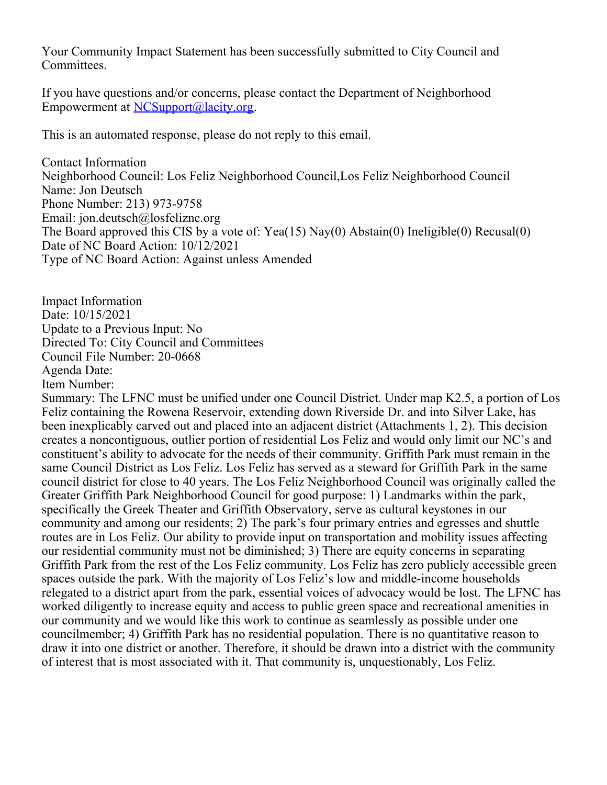Your Community Impact Statement has been successfully submitted to City Council and Committees.

If you have questions and/or concerns, please contact the Department of Neighborhood Empowerment at [NCSupport@lacity.org](mailto:NCSupport@lacity.org).

This is an automated response, please do not reply to this email.

Contact Information Neighborhood Council: Los Feliz Neighborhood Council,Los Feliz Neighborhood Council Name: Jon Deutsch Phone Number: 213) 973-9758 Email: jon.deutsch@losfeliznc.org The Board approved this CIS by a vote of: Yea(15) Nay(0) Abstain(0) Ineligible(0) Recusal(0) Date of NC Board Action: 10/12/2021 Type of NC Board Action: Against unless Amended

Impact Information Date: 10/15/2021 Update to a Previous Input: No Directed To: City Council and Committees Council File Number: 20-0668 Agenda Date: Item Number:

Summary: The LFNC must be unified under one Council District. Under map K2.5, a portion of Los Feliz containing the Rowena Reservoir, extending down Riverside Dr. and into Silver Lake, has been inexplicably carved out and placed into an adjacent district (Attachments 1, 2). This decision creates a noncontiguous, outlier portion of residential Los Feliz and would only limit our NC's and constituent's ability to advocate for the needs of their community. Griffith Park must remain in the same Council District as Los Feliz. Los Feliz has served as a steward for Griffith Park in the same council district for close to 40 years. The Los Feliz Neighborhood Council was originally called the Greater Griffith Park Neighborhood Council for good purpose: 1) Landmarks within the park, specifically the Greek Theater and Griffith Observatory, serve as cultural keystones in our community and among our residents; 2) The park's four primary entries and egresses and shuttle routes are in Los Feliz. Our ability to provide input on transportation and mobility issues affecting our residential community must not be diminished; 3) There are equity concerns in separating Griffith Park from the rest of the Los Feliz community. Los Feliz has zero publicly accessible green spaces outside the park. With the majority of Los Feliz's low and middle-income households relegated to a district apart from the park, essential voices of advocacy would be lost. The LFNC has worked diligently to increase equity and access to public green space and recreational amenities in our community and we would like this work to continue as seamlessly as possible under one councilmember; 4) Griffith Park has no residential population. There is no quantitative reason to draw it into one district or another. Therefore, it should be drawn into a district with the community of interest that is most associated with it. That community is, unquestionably, Los Feliz.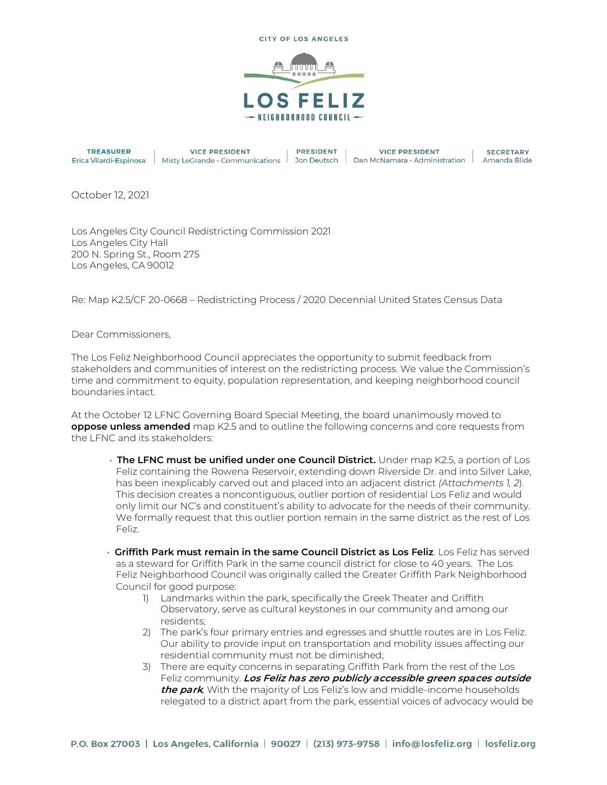

**SECRETARY** 

Amanda Blide

**TREASURER VICE PRESIDENT PRESIDENT VICE PRESIDENT** Erica Vilardi-Espinosa | Misty LeGrande - Communications | Jon Deutsch | Dan McNamara - Administration |

October 12, 2021

Los Angeles City Council Redistricting Commission 2021 Los Angeles City Hall 200 N. Spring St., Room 275 Los Angeles, CA 90012

Re: Map K2.5/CF 20-0668 – Redistricting Process / 2020 Decennial United States Census Data

Dear Commissioners,

The Los Feliz Neighborhood Council appreciates the opportunity to submit feedback from stakeholders and communities of interest on the redistricting process. We value the Commission's time and commitment to equity, population representation, and keeping neighborhood council boundaries intact.

At the October 12 LFNC Governing Board Special Meeting, the board unanimously moved to **oppose unless amended** map K2.5 and to outline the following concerns and core requests from the LFNC and its stakeholders:

- **The LFNC must be unified under one Council District.** Under map K2.5, a portion of Los Feliz containing the Rowena Reservoir, extending down Riverside Dr. and into Silver Lake, has been inexplicably carved out and placed into an adjacent district *(Attachments 1, 2*). This decision creates a noncontiguous, outlier portion of residential Los Feliz and would only limit our NC's and constituent's ability to advocate for the needs of their community. We formally request that this outlier portion remain in the same district as the rest of Los Feliz.
- **Griffith Park must remain in the same Council District as Los Feliz**. Los Feliz has served as a steward for Griffith Park in the same council district for close to 40 years. The Los Feliz Neighborhood Council was originally called the Greater Griffith Park Neighborhood Council for good purpose:
	- 1) Landmarks within the park, specifically the Greek Theater and Griffith Observatory, serve as cultural keystones in our community and among our residents;
	- 2) The park's four primary entries and egresses and shuttle routes are in Los Feliz. Our ability to provide input on transportation and mobility issues affecting our residential community must not be diminished;
	- 3) There are equity concerns in separating Griffith Park from the rest of the Los Feliz community. **Los Feliz has zero publicly accessible green spaces outside the park***.* With the majority of Los Feliz's low and middle-income households relegated to a district apart from the park, essential voices of advocacy would be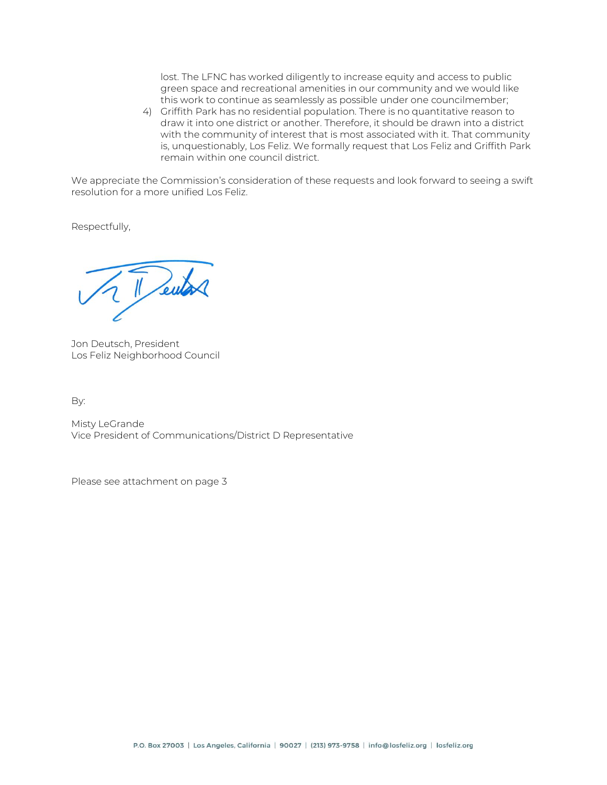lost. The LFNC has worked diligently to increase equity and access to public green space and recreational amenities in our community and we would like this work to continue as seamlessly as possible under one councilmember;

4) Griffith Park has no residential population. There is no quantitative reason to draw it into one district or another. Therefore, it should be drawn into a district with the community of interest that is most associated with it. That community is, unquestionably, Los Feliz. We formally request that Los Feliz and Griffith Park remain within one council district.

We appreciate the Commission's consideration of these requests and look forward to seeing a swift resolution for a more unified Los Feliz.

Respectfully,

Deuton

Jon Deutsch, President Los Feliz Neighborhood Council

By:

Misty LeGrande Vice President of Communications/District D Representative

Please see attachment on page 3